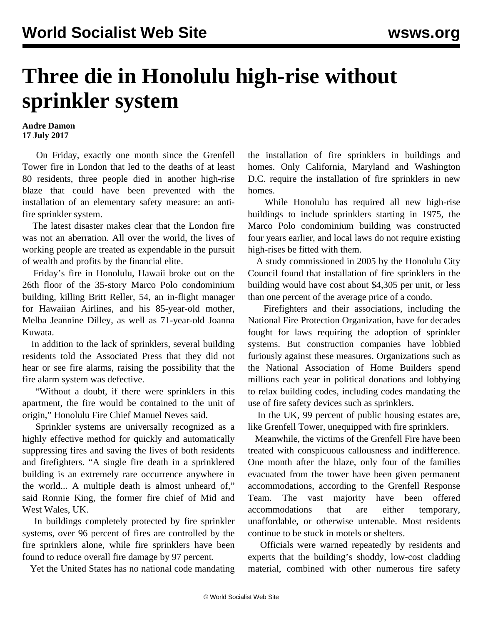## **Three die in Honolulu high-rise without sprinkler system**

## **Andre Damon 17 July 2017**

 On Friday, exactly one month since the Grenfell Tower fire in London that led to the deaths of at least 80 residents, three people died in another high-rise blaze that could have been prevented with the installation of an elementary safety measure: an antifire sprinkler system.

 The latest disaster makes clear that the London fire was not an aberration. All over the world, the lives of working people are treated as expendable in the pursuit of wealth and profits by the financial elite.

 Friday's fire in Honolulu, Hawaii broke out on the 26th floor of the 35-story Marco Polo condominium building, killing Britt Reller, 54, an in-flight manager for Hawaiian Airlines, and his 85-year-old mother, Melba Jeannine Dilley, as well as 71-year-old Joanna Kuwata.

 In addition to the lack of sprinklers, several building residents told the Associated Press that they did not hear or see fire alarms, raising the possibility that the fire alarm system was defective.

 "Without a doubt, if there were sprinklers in this apartment, the fire would be contained to the unit of origin," Honolulu Fire Chief Manuel Neves said.

 Sprinkler systems are universally recognized as a highly effective method for quickly and automatically suppressing fires and saving the lives of both residents and firefighters. "A single fire death in a sprinklered building is an extremely rare occurrence anywhere in the world... A multiple death is almost unheard of," said Ronnie King, the former fire chief of Mid and West Wales, UK.

 In buildings completely protected by fire sprinkler systems, over 96 percent of fires are controlled by the fire sprinklers alone, while fire sprinklers have been found to reduce overall fire damage by 97 percent.

Yet the United States has no national code mandating

the installation of fire sprinklers in buildings and homes. Only California, Maryland and Washington D.C. require the installation of fire sprinklers in new homes.

 While Honolulu has required all new high-rise buildings to include sprinklers starting in 1975, the Marco Polo condominium building was constructed four years earlier, and local laws do not require existing high-rises be fitted with them.

 A study commissioned in 2005 by the Honolulu City Council found that installation of fire sprinklers in the building would have cost about \$4,305 per unit, or less than one percent of the average price of a condo.

 Firefighters and their associations, including the National Fire Protection Organization, have for decades fought for laws requiring the adoption of sprinkler systems. But construction companies have lobbied furiously against these measures. Organizations such as the National Association of Home Builders spend millions each year in political donations and lobbying to relax building codes, including codes mandating the use of fire safety devices such as sprinklers.

 In the UK, 99 percent of public housing estates are, like Grenfell Tower, unequipped with fire sprinklers.

 Meanwhile, the victims of the Grenfell Fire have been treated with conspicuous callousness and indifference. One month after the blaze, only four of the families evacuated from the tower have been given permanent accommodations, according to the Grenfell Response Team. The vast majority have been offered accommodations that are either temporary, unaffordable, or otherwise untenable. Most residents continue to be stuck in motels or shelters.

 Officials were warned repeatedly by residents and experts that the building's shoddy, low-cost cladding material, combined with other numerous fire safety